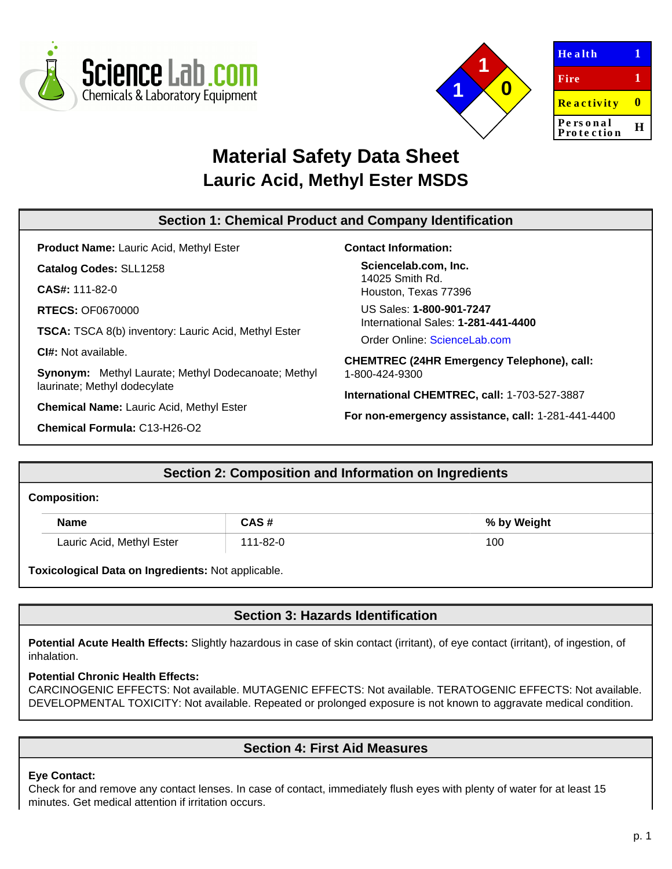



| <b>Health</b>          | Τ |
|------------------------|---|
| Fire                   | 1 |
| <b>Reactivity</b>      | п |
| Personal<br>Protection | н |
|                        |   |

# **Material Safety Data Sheet Lauric Acid, Methyl Ester MSDS**

#### **Section 1: Chemical Product and Company Identification Product Name:** Lauric Acid, Methyl Ester **Catalog Codes:** SLL1258 **CAS#:** 111-82-0 **RTECS:** OF0670000 **TSCA:** TSCA 8(b) inventory: Lauric Acid, Methyl Ester **CI#:** Not available. **Synonym:** Methyl Laurate; Methyl Dodecanoate; Methyl laurinate; Methyl dodecylate **Chemical Name:** Lauric Acid, Methyl Ester **Chemical Formula:** C13-H26-O2 **Contact Information: Sciencelab.com, Inc.** 14025 Smith Rd. Houston, Texas 77396 US Sales: **1-800-901-7247** International Sales: **1-281-441-4400** Order Online: [ScienceLab.com](http://www.sciencelab.com/) **CHEMTREC (24HR Emergency Telephone), call:** 1-800-424-9300 **International CHEMTREC, call:** 1-703-527-3887 **For non-emergency assistance, call:** 1-281-441-4400

# **Section 2: Composition and Information on Ingredients**

#### **Composition:**

| <b>Name</b>               | CAS#     | % by Weight |
|---------------------------|----------|-------------|
| Lauric Acid, Methyl Ester | 111-82-0 | 100         |

**Toxicological Data on Ingredients:** Not applicable.

# **Section 3: Hazards Identification**

Potential Acute Health Effects: Slightly hazardous in case of skin contact (irritant), of eye contact (irritant), of ingestion, of inhalation.

## **Potential Chronic Health Effects:**

CARCINOGENIC EFFECTS: Not available. MUTAGENIC EFFECTS: Not available. TERATOGENIC EFFECTS: Not available. DEVELOPMENTAL TOXICITY: Not available. Repeated or prolonged exposure is not known to aggravate medical condition.

# **Section 4: First Aid Measures**

## **Eye Contact:**

Check for and remove any contact lenses. In case of contact, immediately flush eyes with plenty of water for at least 15 minutes. Get medical attention if irritation occurs.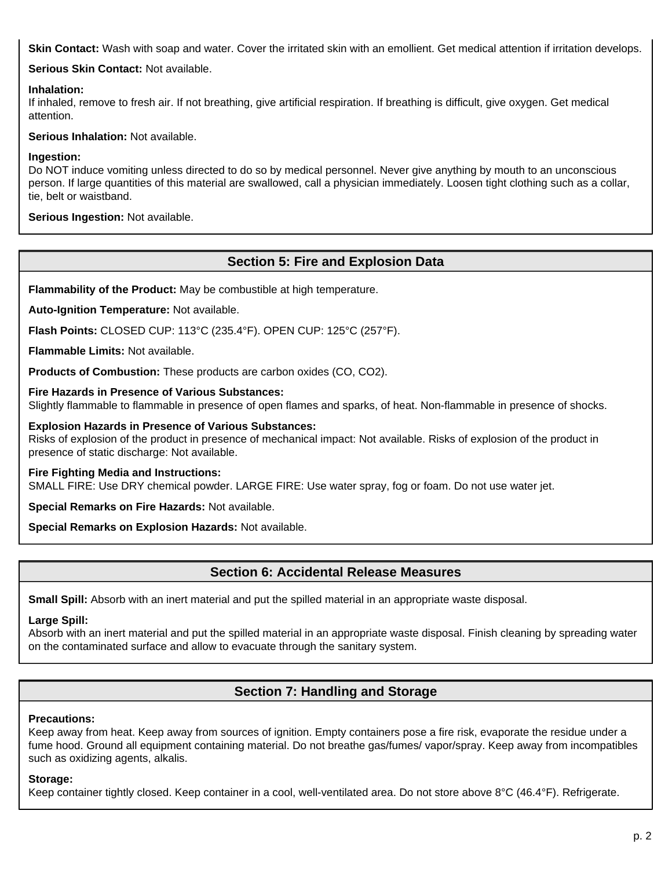Skin Contact: Wash with soap and water. Cover the irritated skin with an emollient. Get medical attention if irritation develops.

**Serious Skin Contact:** Not available.

## **Inhalation:**

If inhaled, remove to fresh air. If not breathing, give artificial respiration. If breathing is difficult, give oxygen. Get medical attention.

**Serious Inhalation:** Not available.

## **Ingestion:**

Do NOT induce vomiting unless directed to do so by medical personnel. Never give anything by mouth to an unconscious person. If large quantities of this material are swallowed, call a physician immediately. Loosen tight clothing such as a collar, tie, belt or waistband.

**Serious Ingestion:** Not available.

# **Section 5: Fire and Explosion Data**

**Flammability of the Product:** May be combustible at high temperature.

**Auto-Ignition Temperature:** Not available.

**Flash Points:** CLOSED CUP: 113°C (235.4°F). OPEN CUP: 125°C (257°F).

**Flammable Limits:** Not available.

**Products of Combustion:** These products are carbon oxides (CO, CO2).

## **Fire Hazards in Presence of Various Substances:**

Slightly flammable to flammable in presence of open flames and sparks, of heat. Non-flammable in presence of shocks.

## **Explosion Hazards in Presence of Various Substances:**

Risks of explosion of the product in presence of mechanical impact: Not available. Risks of explosion of the product in presence of static discharge: Not available.

#### **Fire Fighting Media and Instructions:**

SMALL FIRE: Use DRY chemical powder. LARGE FIRE: Use water spray, fog or foam. Do not use water jet.

**Special Remarks on Fire Hazards:** Not available.

**Special Remarks on Explosion Hazards:** Not available.

## **Section 6: Accidental Release Measures**

**Small Spill:** Absorb with an inert material and put the spilled material in an appropriate waste disposal.

#### **Large Spill:**

Absorb with an inert material and put the spilled material in an appropriate waste disposal. Finish cleaning by spreading water on the contaminated surface and allow to evacuate through the sanitary system.

# **Section 7: Handling and Storage**

#### **Precautions:**

Keep away from heat. Keep away from sources of ignition. Empty containers pose a fire risk, evaporate the residue under a fume hood. Ground all equipment containing material. Do not breathe gas/fumes/ vapor/spray. Keep away from incompatibles such as oxidizing agents, alkalis.

#### **Storage:**

Keep container tightly closed. Keep container in a cool, well-ventilated area. Do not store above 8°C (46.4°F). Refrigerate.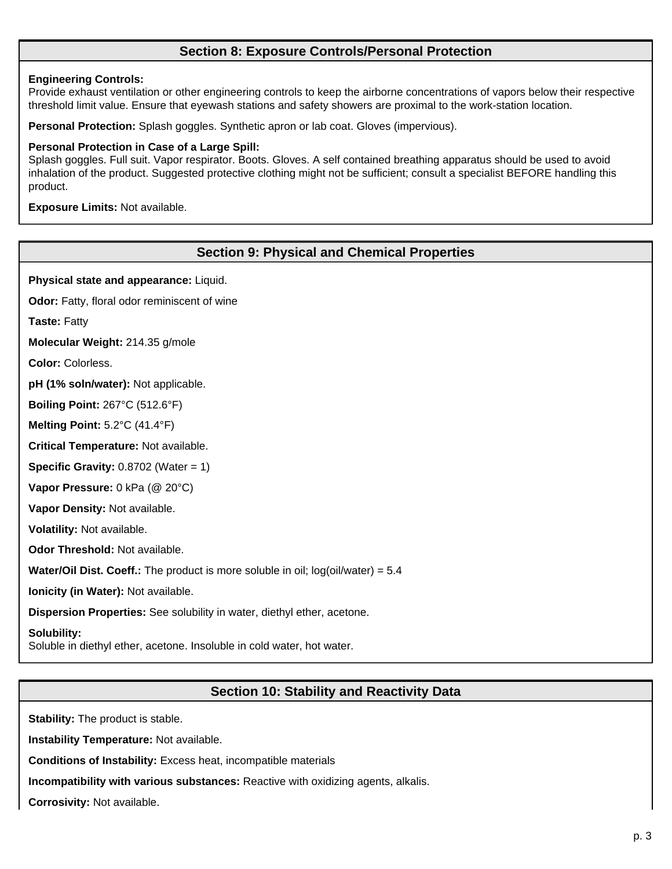# **Section 8: Exposure Controls/Personal Protection**

## **Engineering Controls:**

Provide exhaust ventilation or other engineering controls to keep the airborne concentrations of vapors below their respective threshold limit value. Ensure that eyewash stations and safety showers are proximal to the work-station location.

**Personal Protection:** Splash goggles. Synthetic apron or lab coat. Gloves (impervious).

## **Personal Protection in Case of a Large Spill:**

Splash goggles. Full suit. Vapor respirator. Boots. Gloves. A self contained breathing apparatus should be used to avoid inhalation of the product. Suggested protective clothing might not be sufficient; consult a specialist BEFORE handling this product.

**Exposure Limits:** Not available.

## **Section 9: Physical and Chemical Properties**

**Physical state and appearance:** Liquid.

**Odor:** Fatty, floral odor reminiscent of wine

**Taste:** Fatty

**Molecular Weight:** 214.35 g/mole

**Color:** Colorless.

**pH (1% soln/water):** Not applicable.

**Boiling Point:** 267°C (512.6°F)

**Melting Point:** 5.2°C (41.4°F)

**Critical Temperature:** Not available.

**Specific Gravity:** 0.8702 (Water = 1)

**Vapor Pressure:** 0 kPa (@ 20°C)

**Vapor Density:** Not available.

**Volatility:** Not available.

**Odor Threshold:** Not available.

**Water/Oil Dist. Coeff.:** The product is more soluble in oil; log(oil/water) = 5.4

**Ionicity (in Water):** Not available.

**Dispersion Properties:** See solubility in water, diethyl ether, acetone.

## **Solubility:**

Soluble in diethyl ether, acetone. Insoluble in cold water, hot water.

# **Section 10: Stability and Reactivity Data**

**Stability:** The product is stable.

**Instability Temperature:** Not available.

**Conditions of Instability:** Excess heat, incompatible materials

**Incompatibility with various substances:** Reactive with oxidizing agents, alkalis.

**Corrosivity:** Not available.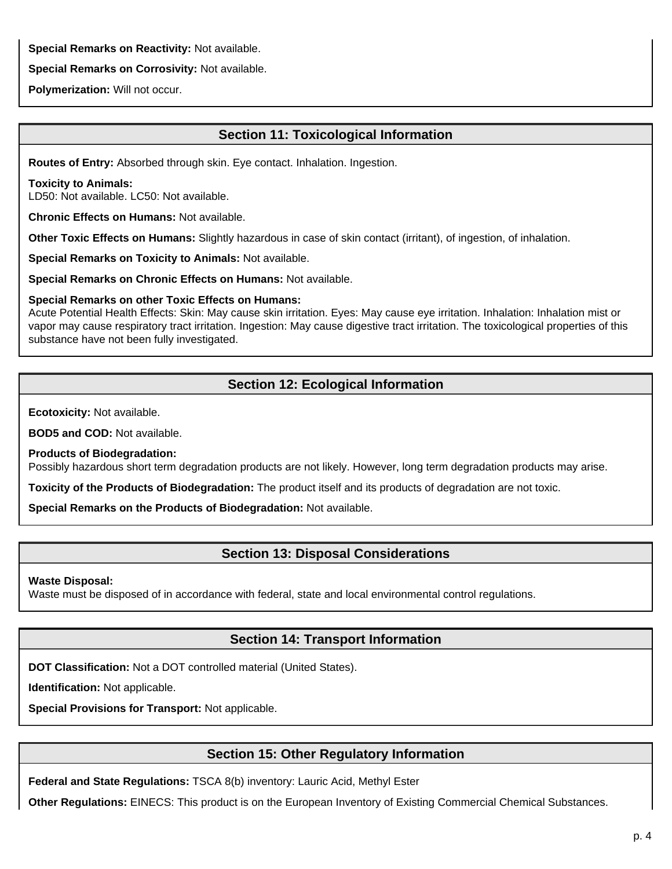**Special Remarks on Reactivity:** Not available.

**Special Remarks on Corrosivity:** Not available.

**Polymerization:** Will not occur.

# **Section 11: Toxicological Information**

**Routes of Entry:** Absorbed through skin. Eye contact. Inhalation. Ingestion.

#### **Toxicity to Animals:**

LD50: Not available. LC50: Not available.

**Chronic Effects on Humans:** Not available.

**Other Toxic Effects on Humans:** Slightly hazardous in case of skin contact (irritant), of ingestion, of inhalation.

**Special Remarks on Toxicity to Animals:** Not available.

**Special Remarks on Chronic Effects on Humans:** Not available.

## **Special Remarks on other Toxic Effects on Humans:**

Acute Potential Health Effects: Skin: May cause skin irritation. Eyes: May cause eye irritation. Inhalation: Inhalation mist or vapor may cause respiratory tract irritation. Ingestion: May cause digestive tract irritation. The toxicological properties of this substance have not been fully investigated.

# **Section 12: Ecological Information**

**Ecotoxicity:** Not available.

**BOD5 and COD:** Not available.

**Products of Biodegradation:**

Possibly hazardous short term degradation products are not likely. However, long term degradation products may arise.

**Toxicity of the Products of Biodegradation:** The product itself and its products of degradation are not toxic.

**Special Remarks on the Products of Biodegradation:** Not available.

# **Section 13: Disposal Considerations**

#### **Waste Disposal:**

Waste must be disposed of in accordance with federal, state and local environmental control regulations.

# **Section 14: Transport Information**

**DOT Classification:** Not a DOT controlled material (United States).

**Identification:** Not applicable.

**Special Provisions for Transport:** Not applicable.

# **Section 15: Other Regulatory Information**

**Federal and State Regulations:** TSCA 8(b) inventory: Lauric Acid, Methyl Ester

**Other Regulations:** EINECS: This product is on the European Inventory of Existing Commercial Chemical Substances.